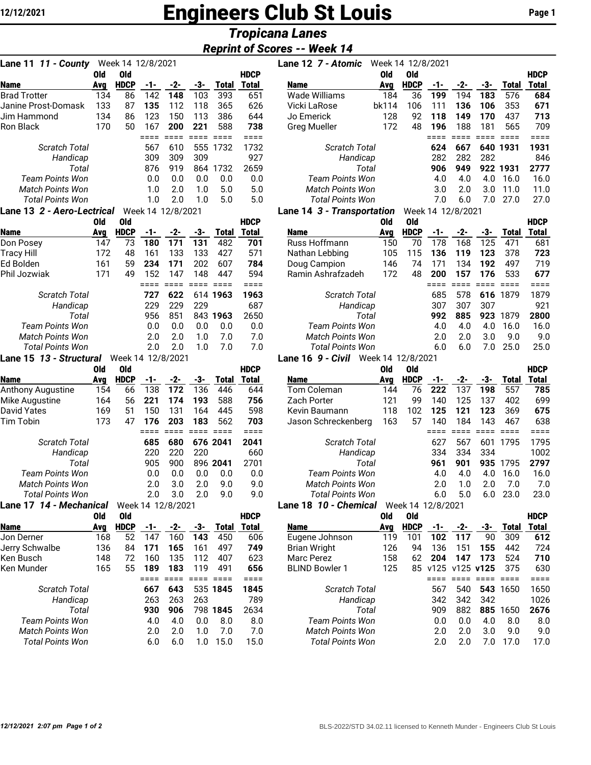# **12/12/2021 Engineers Club St Louis** Page 1

## *Tropicana Lanes*

### *Reprint of Scores -- Week 14*

| 11 - County<br>Lane 11             |            | Week 14 12/8/2021  |            |                   |                 |                     |                             |
|------------------------------------|------------|--------------------|------------|-------------------|-----------------|---------------------|-----------------------------|
|                                    | Old        | Old                |            |                   |                 |                     | <b>HDCP</b>                 |
| <b>Name</b>                        | Avg        | <b>HDCP</b>        | -1-        | $-2-$             | -3-             | <b>Total</b>        | Total                       |
| <b>Brad Trotter</b>                | 134        | 86                 | 142        | 148               | 103             | 393                 | 651                         |
| Janine Prost-Domask<br>Jim Hammond | 133        | 87                 | 135        | 112               | 118             | 365                 | 626                         |
| Ron Black                          | 134<br>170 | 86<br>50           | 123<br>167 | 150<br>200        | 113<br>221      | 386<br>588          | 644<br>738                  |
|                                    |            |                    | ====       | $====$            | $===$           | $===$               | ====                        |
| <b>Scratch Total</b>               |            |                    | 567        | 610               | 555             | 1732                | 1732                        |
| Handicap                           |            |                    | 309        | 309               | 309             |                     | 927                         |
| Total                              |            |                    | 876        | 919               | 864             | 1732                | 2659                        |
| Team Points Won                    |            |                    | 0.0        | 0.0               | 0.0             | 0.0                 | 0.0                         |
| <b>Match Points Won</b>            |            |                    | 1.0        | 2.0               | 1.0             | 5.0                 | 5.0                         |
| <b>Total Points Won</b>            |            |                    | 1.0        | 2.0               | 1.0             | 5.0                 | 5.0                         |
| Lane 13 2 - Aero-Lectrical         |            |                    |            | Week 14 12/8/2021 |                 |                     |                             |
|                                    | <b>Old</b> | Old                |            |                   |                 |                     | <b>HDCP</b>                 |
| <b>Name</b>                        | Avg        | <b>HDCP</b>        | -1-        | $-2-$             | -3-             | <b>Total</b>        | Total                       |
| Don Posey                          | 147        | 73                 | 180        | 171               | 131             | 482                 | 701                         |
| <b>Tracy Hill</b>                  | 172        | 48                 | 161        | 133               | 133             | 427                 | 571                         |
| Ed Bolden                          | 161        | 59                 | 234        | 171               | 202             | 607                 | 784                         |
| Phil Jozwiak                       | 171        | 49                 | 152        | 147               | 148             | 447                 | 594                         |
|                                    |            |                    | ====       | $====$            | $===$           | $====$              | $====$                      |
| <b>Scratch Total</b>               |            |                    | 727        | 622               | 614             | 1963                | 1963                        |
| Handicap                           |            |                    | 229        | 229               | 229             |                     | 687                         |
| Total                              |            |                    | 956        | 851               | 843             | 1963                | 2650                        |
| <b>Team Points Won</b>             |            |                    | 0.0        | 0.0               | 0.0             | 0.0                 | 0.0                         |
| <b>Match Points Won</b>            |            |                    | 2.0        | 2.0               | 1.0             | 7.0                 | 7.0                         |
| <b>Total Points Won</b>            |            |                    | 2.0        | 2.0               | 1.0             | 7.0                 | 7.0                         |
| Lane 15 13 - Structural            |            | Week 14 12/8/2021  |            |                   |                 |                     |                             |
| <b>Name</b>                        | Old        | Old<br><b>HDCP</b> |            | $-2-$             | $-3-$           |                     | <b>HDCP</b><br><b>Total</b> |
| Anthony Augustine                  | Avg<br>154 | 66                 | -1-<br>138 | 172               | 136             | <b>Total</b><br>446 | 644                         |
| Mike Augustine                     | 164        | 56                 | 221        | 174               | 193             | 588                 | 756                         |
| <b>David Yates</b>                 | 169        | 51                 | 150        | 131               | 164             | 445                 | 598                         |
| Tim Tobin                          | 173        | 47                 | 176        | 203               | 183             | 562                 | 703                         |
|                                    |            |                    | $====$     | $=$ $=$ $=$ $=$   | $=$ $=$ $=$ $=$ | $====$              | $====$                      |
| <b>Scratch Total</b>               |            |                    | 685        | 680               |                 | 676 2041            | 2041                        |
| Handicap                           |            |                    | 220        | 220               | 220             |                     | 660                         |
| Total                              |            |                    | 905        | 900               |                 | 896 2041            | 2701                        |
| Team Points Won                    |            |                    | 0.0        | 0.0               | 0.0             | 0.0                 | 0.0                         |
| <b>Match Points Won</b>            |            |                    | 2.0        | 3.0               | 2.0             | 9.0                 | 9.0                         |
| <b>Total Points Won</b>            |            |                    |            | $2.0$ 3.0         | 2.0             | 9.0                 | 9.0                         |
| Lane 17 14 - Mechanical            |            |                    |            | Week 14 12/8/2021 |                 |                     |                             |
|                                    | Old        | <b>Old</b>         |            |                   |                 |                     | <b>HDCP</b>                 |
| <b>Name</b>                        | Avg        | <b>HDCP</b>        | -1-        | $-2-$             | -3-             | <b>Total</b>        | <b>Total</b>                |
| Jon Derner                         | 168        | 52                 | 147        | 160               | 143             | 450                 | 606                         |
| Jerry Schwalbe                     | 136        | 84                 | 171        | 165               | 161             | 497                 | 749                         |
| Ken Busch                          | 148        | 72                 | 160        | 135               | 112             | 407                 | 623                         |
| Ken Munder                         | 165        | 55                 | 189        | 183               | 119             | 491                 | 656                         |
|                                    |            |                    | ====       | ====              | ====            | $====$              | ====                        |
| <b>Scratch Total</b>               |            |                    | 667        | 643               | 535             | 1845                | 1845<br>789                 |
| Handicap<br>Total                  |            |                    | 263<br>930 | 263<br>906        | 263             | 798 1845            | 2634                        |
| Team Points Won                    |            |                    | 4.0        | 4.0               | 0.0             | 8.0                 | 8.0                         |
| <b>Match Points Won</b>            |            |                    | 2.0        | 2.0               | 1.0             | 7.0                 | 7.0                         |
| <b>Total Points Won</b>            |            |                    | 6.0        | 6.0               | 1.0             | 15.0                | 15.0                        |

| Lane 11 11 - County               |     | Week 14 12/8/2021 |     |                   |     |              |              | Lane 12 7 - Atomic         | Week 14 12/8/2021 |             |     |                   |     |          |              |
|-----------------------------------|-----|-------------------|-----|-------------------|-----|--------------|--------------|----------------------------|-------------------|-------------|-----|-------------------|-----|----------|--------------|
|                                   | 0ld | 0ld               |     |                   |     |              | <b>HDCP</b>  |                            | <b>Old</b>        | 0ld         |     |                   |     |          | <b>HDCP</b>  |
| <b>Name</b>                       | Ava | <b>HDCP</b>       | -1- | -2-               | -3- | <b>Total</b> | <b>Total</b> | <b>Name</b>                | Avg               | <b>HDCP</b> | -1- | -2-               | -3- | Total    | <b>Total</b> |
| <b>Brad Trotter</b>               | 134 | 86                | 142 | 148               | 103 | 393          | 651          | Wade Williams              | 184               | 36          | 199 | 194               | 183 | 576      | 684          |
| Janine Prost-Domask               | 133 | 87                | 135 | 112               | 118 | 365          | 626          | Vicki LaRose               | bk114             | 106         | 111 | 136               | 106 | 353      | 671          |
| Jim Hammond                       | 134 | 86                | 123 | 150               | 113 | 386          | 644          | Jo Emerick                 | 128               | 92          | 118 | 149               | 170 | 437      | 713          |
| Ron Black                         | 170 | 50                | 167 | 200               | 221 | 588          | 738          | <b>Greg Mueller</b>        | 172               | 48          | 196 | 188               | 181 | 565      | 709          |
|                                   |     |                   |     |                   |     |              |              |                            |                   |             |     |                   |     |          |              |
| <b>Scratch Total</b>              |     |                   | 567 | 610               | 555 | 1732         | 1732         | <b>Scratch Total</b>       |                   |             | 624 | 667               |     | 640 1931 | 1931         |
| Handicap                          |     |                   | 309 | 309               | 309 |              | 927          | Handicap                   |                   |             | 282 | 282               | 282 |          | 846          |
| Total                             |     |                   | 876 | 919               | 864 | 1732         | 2659         | Total                      |                   |             | 906 | 949               |     | 922 1931 | 2777         |
| <b>Team Points Won</b>            |     |                   | 0.0 | 0.0               | 0.0 | 0.0          | 0.0          | <b>Team Points Won</b>     |                   |             | 4.0 | 4.0               | 4.0 | 16.0     | 16.0         |
| <b>Match Points Won</b>           |     |                   | 1.0 | 2.0               | 1.0 | 5.0          | 5.0          | <b>Match Points Won</b>    |                   |             | 3.0 | 2.0               | 3.0 | 11.0     | 11.0         |
| <b>Total Points Won</b>           |     |                   | 1.0 | 2.0               | 1.0 | 5.0          | 5.0          | <b>Total Points Won</b>    |                   |             | 7.0 | 6.0               | 7.0 | 27.0     | 27.0         |
| Lane 13 <i>2 - Aero-Lectrical</i> |     |                   |     | Week 14 12/8/2021 |     |              |              | Lane 14 3 - Transportation |                   |             |     | Week 14 12/8/2021 |     |          |              |
|                                   |     |                   |     |                   |     |              |              |                            |                   |             |     |                   |     |          |              |

#### **Old Old HDCP Old Old HDCP Name Avg HDCP -1- -2- -3- Total Total Name Avg HDCP -1- -2- -3- Total Total** Russ Hoffmann 150 70 178 168 125 471 681<br>Nathan Lebbing 105 115 136 119 123 378 723 Nathan Lebbing 105 115 **136 119 123** 378 **723** Doug Campion 146 74 171 134 **192** 497 719 Ramin Ashrafzadeh 172 48 **200 157 176** 533 **677** ==== ==== ==== ==== ==== *Scratch Total* 685 578 **616** 1879 1879 *Handicap* 307 307 307 921 *Total* **992 885 923** 1879 **2800** *Team Points Won* 4.0 4.0 4.0 16.0 16.0 *Match Points Won* 2.0 2.0 3.0 9.0 9.0 *Total Points Won* 6.0 6.0 7.0 25.0 25.0

#### **Lane 16** *9 - Civil* Week 14 12/8/2021

|                         | 0ld                                                             | 0ld         |     |       |     |          | <b>HDCP</b> |                         | 0ld | <b>Old</b>  |      |               |       |       | <b>HDCP</b>  |
|-------------------------|-----------------------------------------------------------------|-------------|-----|-------|-----|----------|-------------|-------------------------|-----|-------------|------|---------------|-------|-------|--------------|
| Name                    | Avg                                                             | <b>HDCP</b> | -1- | -2-   | -3- | Total    | Total       | <b>Name</b>             | Avg | <b>HDCP</b> | -1-  | -2-           | -3-   | Total | <b>Total</b> |
| Anthony Augustine       | 154                                                             | 66          | 138 | 172   | 136 | 446      | 644         | Tom Coleman             | 144 | 76          | 222  | 137           | 198   | 557   | 785          |
| Mike Augustine          | 164                                                             | 56          | 221 | 174   | 193 | 588      | 756         | Zach Porter             | 121 | 99          | 140  | 125           | 137   | 402   | 699          |
| David Yates             | 169                                                             | 51          | 150 | 131   | 164 | 445      | 598         | Kevin Baumann           | 118 | 102         | 125  | 121           | 123   | 369   | 675          |
| Tim Tobin               | 173                                                             | 47          | 176 | 203   | 183 | 562      | 703         | Jason Schreckenberg     | 163 | 57          | 140  | 184           | 143   | 467   | 638          |
|                         |                                                                 |             |     |       |     |          |             |                         |     |             |      |               |       |       | ====         |
| <b>Scratch Total</b>    |                                                                 |             | 685 | 680   |     | 676 2041 | 2041        | <b>Scratch Total</b>    |     |             | 627  | 567           | 601   | 1795  | 1795         |
| Handicap                |                                                                 |             | 220 | 220   | 220 |          | 660         | Handicap                |     |             | 334  | 334           | 334   |       | 1002         |
| Total                   |                                                                 |             | 905 | 900   |     | 896 2041 | 2701        | Total                   |     |             | 961  | 901           | 935   | 1795  | 2797         |
| <b>Team Points Won</b>  |                                                                 |             | 0.0 | 0.0   | 0.0 | 0.0      | 0.0         | <b>Team Points Won</b>  |     |             | 4.0  | 4.0           | 4.0   | 16.0  | 16.0         |
| <b>Match Points Won</b> |                                                                 |             | 2.0 | 3.0   | 2.0 | 9.0      | 9.0         | <b>Match Points Won</b> |     |             | 2.0  | 1.0           | 2.0   | 7.0   | 7.0          |
| <b>Total Points Won</b> |                                                                 |             | 2.0 | 3.0   | 2.0 | 9.0      | 9.0         | <b>Total Points Won</b> |     |             | 6.0  | 5.0           | 6.0   | 23.0  | 23.0         |
| Lane 17 14 - Mechanical | Week 14 12/8/2021<br>Lane 18 10 - Chemical<br>Week 14 12/8/2021 |             |     |       |     |          |             |                         |     |             |      |               |       |       |              |
|                         | <b>Old</b>                                                      | <b>Old</b>  |     |       |     |          | <b>HDCP</b> |                         | Old | <b>Old</b>  |      |               |       |       | <b>HDCP</b>  |
| <b>Name</b>             | Avg                                                             | <b>HDCP</b> | -1- | $-2-$ | -3- | Total    | Total       | <b>Name</b>             | Avg | <b>HDCP</b> | -1-  | -2-           | $-3-$ | Total | <b>Total</b> |
| Jon Derner              | 168                                                             | 52          | 147 | 160   | 143 | 450      | 606         | Eugene Johnson          | 119 | 101         | 102  | 117           | 90    | 309   | 612          |
| Jerry Schwalbe          | 136                                                             | 84          | 171 | 165   | 161 | 497      | 749         | <b>Brian Wright</b>     | 126 | 94          | 136  | 151           | 155   | 442   | 724          |
| Ken Busch               | 148                                                             | 72          | 160 | 135   | 112 | 407      | 623         | Marc Perez              | 158 | 62          | 204  | 147           | 173   | 524   | 710          |
| Ken Munder              | 165                                                             | 55          | 189 | 183   | 119 | 491      | 656         | <b>BLIND Bowler 1</b>   | 125 | 85          | v125 | $v125$ $v125$ |       | 375   | 630          |
|                         |                                                                 |             |     |       |     |          | ====        |                         |     |             |      |               |       |       | ====         |
| <b>Scratch Total</b>    |                                                                 |             | 667 | 643   | 535 | 1845     | 1845        | <b>Scratch Total</b>    |     |             | 567  | 540           | 543   | 1650  | 1650         |
| Handicap                |                                                                 |             | 263 | 263   | 263 |          | 789         | Handicap                |     |             | 342  | 342           | 342   |       | 1026         |
| Total                   |                                                                 |             | 930 | 906   | 798 | 1845     | 2634        | Total                   |     |             | 909  | 882           | 885   | 1650  | 2676         |
| <b>Team Points Won</b>  |                                                                 |             | 4.0 | 4.0   | 0.0 | 8.0      | 8.0         | <b>Team Points Won</b>  |     |             | 0.0  | 0.0           | 4.0   | 8.0   | 8.0          |
| <b>Match Points Won</b> |                                                                 |             | 2.0 | 2.0   | 1.0 | 7.0      | 7.0         | <b>Match Points Won</b> |     |             | 2.0  | 2.0           | 3.0   | 9.0   | 9.0          |
| <b>Total Points Won</b> |                                                                 |             | 6.0 | 6.0   | 1.0 | 15.0     | 15.0        | <b>Total Points Won</b> |     |             | 2.0  | 2.0           | 7.0   | 17.0  | 17.0         |